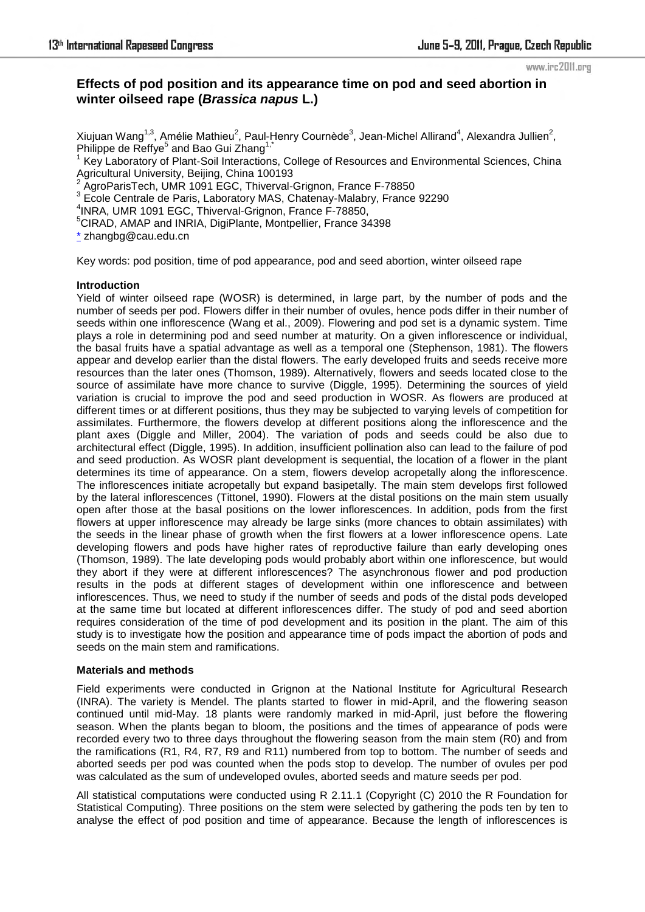# **Effects of pod position and its appearance time on pod and seed abortion in winter oilseed rape (***Brassica napus* **L.)**

Xiujuan Wang<sup>1,3</sup>, Amélie Mathieu<sup>2</sup>, Paul-Henry Cournède<sup>3</sup>, Jean-Michel Allirand<sup>4</sup>, Alexandra Jullien<sup>2</sup>, Philippe de Reffye<sup>5</sup> and Bao Gui Zhang<sup>1,\*</sup>

1 Key Laboratory of Plant-Soil Interactions, College of Resources and Environmental Sciences, China Agricultural University, Beijing, China 100193

<sup>2</sup> AgroParisTech, UMR 1091 EGC, Thiverval-Grignon, France F-78850

<sup>3</sup> Ecole Centrale de Paris, Laboratory MAS, Chatenay-Malabry, France 92290

4 INRA, UMR 1091 EGC, Thiverval-Grignon, France F-78850,

<sup>5</sup>CIRAD, AMAP and INRIA, DigiPlante, Montpellier, France 34398

\* zhangbg@cau.edu.cn

Key words: pod position, time of pod appearance, pod and seed abortion, winter oilseed rape

## **Introduction**

Yield of winter oilseed rape (WOSR) is determined, in large part, by the number of pods and the number of seeds per pod. Flowers differ in their number of ovules, hence pods differ in their number of seeds within one inflorescence (Wang et al., 2009). Flowering and pod set is a dynamic system. Time plays a role in determining pod and seed number at maturity. On a given inflorescence or individual, the basal fruits have a spatial advantage as well as a temporal one (Stephenson, 1981). The flowers appear and develop earlier than the distal flowers. The early developed fruits and seeds receive more resources than the later ones (Thomson, 1989). Alternatively, flowers and seeds located close to the source of assimilate have more chance to survive (Diggle, 1995). Determining the sources of yield variation is crucial to improve the pod and seed production in WOSR. As flowers are produced at different times or at different positions, thus they may be subjected to varying levels of competition for assimilates. Furthermore, the flowers develop at different positions along the inflorescence and the plant axes (Diggle and Miller, 2004). The variation of pods and seeds could be also due to architectural effect (Diggle, 1995). In addition, insufficient pollination also can lead to the failure of pod and seed production. As WOSR plant development is sequential, the location of a flower in the plant determines its time of appearance. On a stem, flowers develop acropetally along the inflorescence. The inflorescences initiate acropetally but expand basipetally. The main stem develops first followed by the lateral inflorescences (Tittonel, 1990). Flowers at the distal positions on the main stem usually open after those at the basal positions on the lower inflorescences. In addition, pods from the first flowers at upper inflorescence may already be large sinks (more chances to obtain assimilates) with the seeds in the linear phase of growth when the first flowers at a lower inflorescence opens. Late developing flowers and pods have higher rates of reproductive failure than early developing ones (Thomson, 1989). The late developing pods would probably abort within one inflorescence, but would they abort if they were at different inflorescences? The asynchronous flower and pod production results in the pods at different stages of development within one inflorescence and between inflorescences. Thus, we need to study if the number of seeds and pods of the distal pods developed at the same time but located at different inflorescences differ. The study of pod and seed abortion requires consideration of the time of pod development and its position in the plant. The aim of this study is to investigate how the position and appearance time of pods impact the abortion of pods and seeds on the main stem and ramifications.

## **Materials and methods**

Field experiments were conducted in Grignon at the National Institute for Agricultural Research (INRA). The variety is Mendel. The plants started to flower in mid-April, and the flowering season continued until mid-May. 18 plants were randomly marked in mid-April, just before the flowering season. When the plants began to bloom, the positions and the times of appearance of pods were recorded every two to three days throughout the flowering season from the main stem (R0) and from the ramifications (R1, R4, R7, R9 and R11) numbered from top to bottom. The number of seeds and aborted seeds per pod was counted when the pods stop to develop. The number of ovules per pod was calculated as the sum of undeveloped ovules, aborted seeds and mature seeds per pod.

All statistical computations were conducted using R 2.11.1 (Copyright (C) 2010 the R Foundation for Statistical Computing). Three positions on the stem were selected by gathering the pods ten by ten to analyse the effect of pod position and time of appearance. Because the length of inflorescences is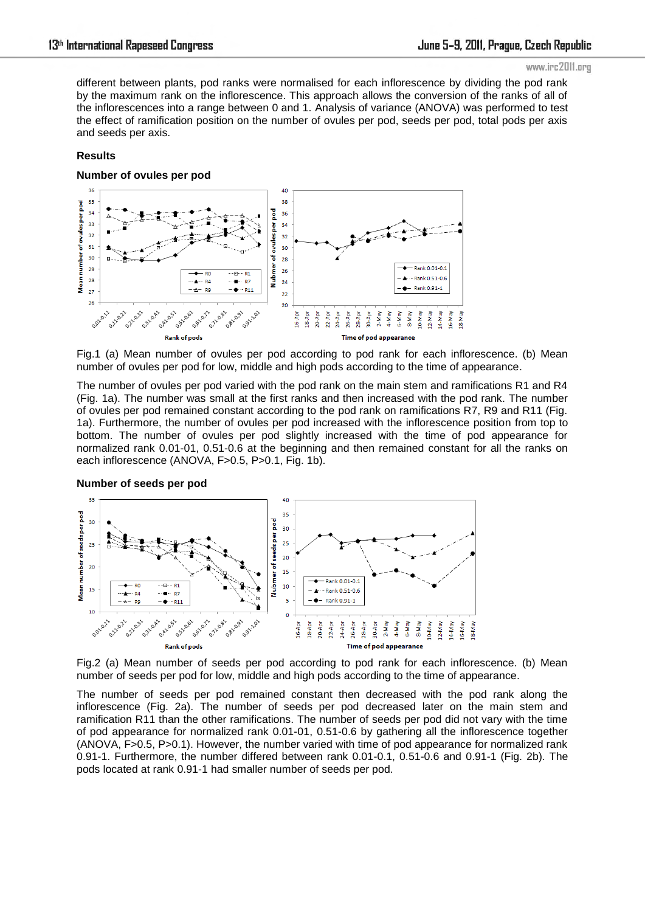different between plants, pod ranks were normalised for each inflorescence by dividing the pod rank by the maximum rank on the inflorescence. This approach allows the conversion of the ranks of all of the inflorescences into a range between 0 and 1. Analysis of variance (ANOVA) was performed to test the effect of ramification position on the number of ovules per pod, seeds per pod, total pods per axis and seeds per axis.

## **Results**

**Number of ovules per pod** 



Fig.1 (a) Mean number of ovules per pod according to pod rank for each inflorescence. (b) Mean number of ovules per pod for low, middle and high pods according to the time of appearance.

The number of ovules per pod varied with the pod rank on the main stem and ramifications R1 and R4 (Fig. 1a). The number was small at the first ranks and then increased with the pod rank. The number of ovules per pod remained constant according to the pod rank on ramifications R7, R9 and R11 (Fig. 1a). Furthermore, the number of ovules per pod increased with the inflorescence position from top to bottom. The number of ovules per pod slightly increased with the time of pod appearance for normalized rank 0.01-01, 0.51-0.6 at the beginning and then remained constant for all the ranks on each inflorescence (ANOVA, F>0.5, P>0.1, Fig. 1b).





Fig.2 (a) Mean number of seeds per pod according to pod rank for each inflorescence. (b) Mean number of seeds per pod for low, middle and high pods according to the time of appearance.

The number of seeds per pod remained constant then decreased with the pod rank along the inflorescence (Fig. 2a). The number of seeds per pod decreased later on the main stem and ramification R11 than the other ramifications. The number of seeds per pod did not vary with the time of pod appearance for normalized rank 0.01-01, 0.51-0.6 by gathering all the inflorescence together (ANOVA, F>0.5, P>0.1). However, the number varied with time of pod appearance for normalized rank 0.91-1. Furthermore, the number differed between rank 0.01-0.1, 0.51-0.6 and 0.91-1 (Fig. 2b). The pods located at rank 0.91-1 had smaller number of seeds per pod.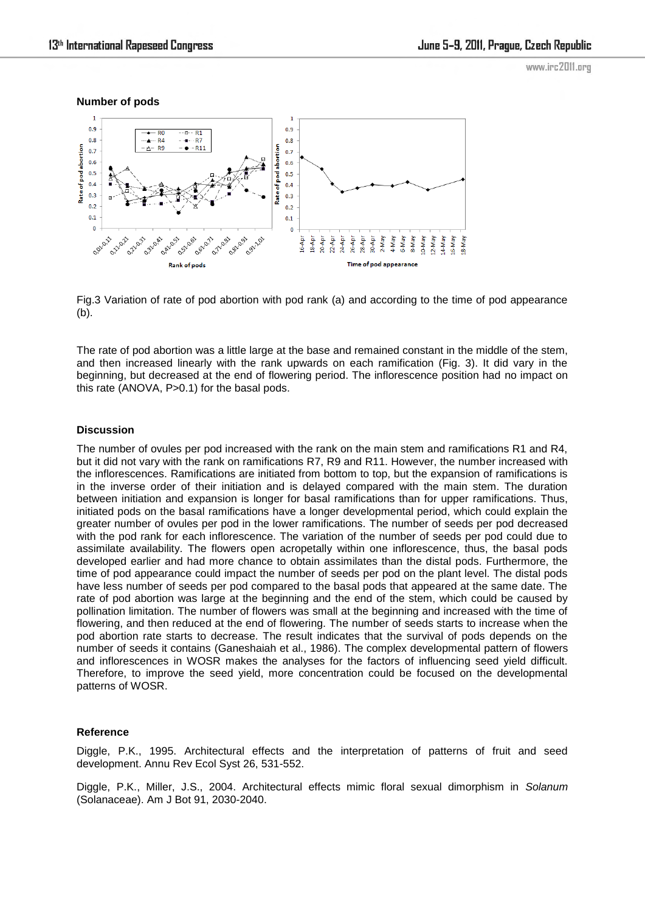



Fig.3 Variation of rate of pod abortion with pod rank (a) and according to the time of pod appearance (b).

The rate of pod abortion was a little large at the base and remained constant in the middle of the stem, and then increased linearly with the rank upwards on each ramification (Fig. 3). It did vary in the beginning, but decreased at the end of flowering period. The inflorescence position had no impact on this rate (ANOVA, P>0.1) for the basal pods.

## **Discussion**

The number of ovules per pod increased with the rank on the main stem and ramifications R1 and R4, but it did not vary with the rank on ramifications R7, R9 and R11. However, the number increased with the inflorescences. Ramifications are initiated from bottom to top, but the expansion of ramifications is in the inverse order of their initiation and is delayed compared with the main stem. The duration between initiation and expansion is longer for basal ramifications than for upper ramifications. Thus, initiated pods on the basal ramifications have a longer developmental period, which could explain the greater number of ovules per pod in the lower ramifications. The number of seeds per pod decreased with the pod rank for each inflorescence. The variation of the number of seeds per pod could due to assimilate availability. The flowers open acropetally within one inflorescence, thus, the basal pods developed earlier and had more chance to obtain assimilates than the distal pods. Furthermore, the time of pod appearance could impact the number of seeds per pod on the plant level. The distal pods have less number of seeds per pod compared to the basal pods that appeared at the same date. The rate of pod abortion was large at the beginning and the end of the stem, which could be caused by pollination limitation. The number of flowers was small at the beginning and increased with the time of flowering, and then reduced at the end of flowering. The number of seeds starts to increase when the pod abortion rate starts to decrease. The result indicates that the survival of pods depends on the number of seeds it contains (Ganeshaiah et al., 1986). The complex developmental pattern of flowers and inflorescences in WOSR makes the analyses for the factors of influencing seed yield difficult. Therefore, to improve the seed yield, more concentration could be focused on the developmental patterns of WOSR.

### **Reference**

Diggle, P.K., 1995. Architectural effects and the interpretation of patterns of fruit and seed development. Annu Rev Ecol Syst 26, 531-552.

Diggle, P.K., Miller, J.S., 2004. Architectural effects mimic floral sexual dimorphism in *Solanum*  (Solanaceae). Am J Bot 91, 2030-2040.